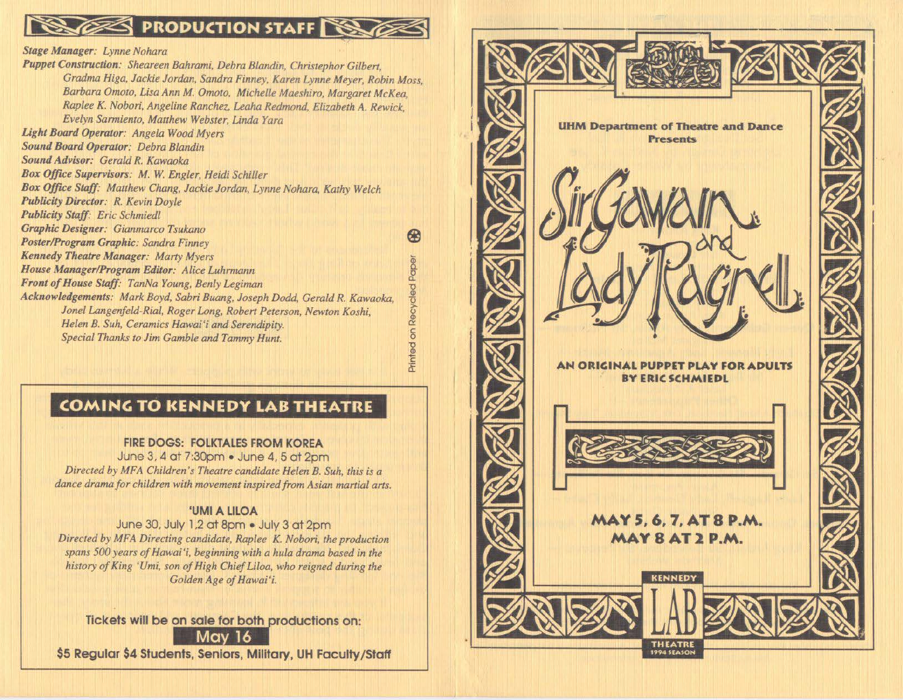# **SES PRODUCTION STAFF**

*Stage Manager: Lynne Nohara* 

*Puppet Construction: Sheareen Bahrami, Debra Blandin, Christephor Gilbert, Gradma Higa, Jackie Jordan, Sandra Finney, Karen Lynne Meyer, Robin Moss, Barbara Omoto, Lisa Ann M. Omoto, Michelle Maeshiro, Margaret McKea, Raplee K. Nobori, Angeline Ranchez, Leaha Redmond, Elizabeth A. Rewick. Evelyn Sarmiento, Matthew Webster, Linda Yara Uight Board Operator: Angela Wood Myers Sound Board Operator: Debra Blandin Sound Advisor: Gerald R. Kawaoka*  Box Office Supervisors: M. W. Engler, Heidi Schiller *Box Office Stqff: Matthew Chang, Jackie Jordan, Lynne Nohara, Kathy Welch Publicity Director: R. Kevin Doyle Publicity Staff: Eric Schmied/ Graphic Designer: Gianmarco Tsukano*  ക്ക *Poster/Program Graphic: Sandra Finney Kennedy Theatre Manager: Marty Myers* Printed on Recycled Paper *House Manager/Program Editor: Alice Luhrmann Front of House Staff: TanNa Young, Benly Legiman*  Acknowledgements: Mark Boyd, Sabri Buang, Joseph Dodd, Gerald R. Kawaoka, *Jonel Langenfeld-Rial, Roger Long, Robert Peterson, Newton Koshi, Helen B. Suh, Ceramics Hawai'i and Serendipity. Special Thanks to Jim Gamble and Tammy Hunt.* 

### **COMING TO KENNEDY LAB THEATRE**

#### **FIRE DOGS: FOLKTALES FROM KOREA**

June 3. 4 at 7:30pm • June 4. 5 at 2pm *Directed by MFA Children's Theatre candidate Helen* B. *Suh, this is a dance drama for children with movement inspired from Asian martial arts.* 

#### **'UMIA LILOA**

June 30. July 1.2 ot 8pm • July 3 at 2pm *Directed by MFA Directing candidate, Raplee K. Nobori, the production spans 500 years of Hawai'i, beginning with a hula drama based in the history of King 'Umi, son of High Chief Liloa, who reigned during the Golden Age of Hawai'i.* 

**Tickets will be on sale for both productions or** and the state of Hawai'i.<br>Solden Age of Hawai'i.<br>**On sale for both productions on:**<br>Ints, Seniors, Military, UH Faculty/ **on: \$5 Regular \$4 Students, Seniors, Military, UH Faculty/ Staff**